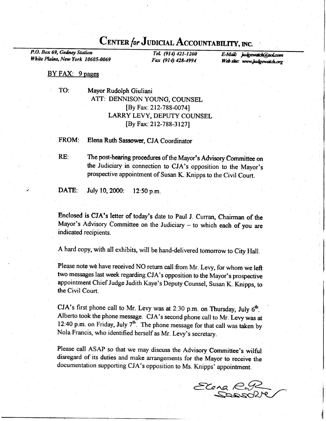## CENTER for JUDICIAL ACCOUNTABILITY, INC.

P.O. Box 69, Gedney Station White Plains, New York 10605-0069

TeL (914) 421-1200 Fax (914) 42&4994

E-Mail: judgewatch@aol.com Web site: www.judgewatch.org

## BY FAX: 9 pages

TO: Mayor Rudolph Giuliani ATT: DENNISON YOUNG, COUNSEL [By Fa<: 212-788-0074] LARRY LEVY, DEPUTY COUNSEL [By Fax: 212-788-3127]

FROM: Elena Ruth Sassower, CJA Coordinator

RE: The post-hearing procedures of the Mayor's Advisory Committee on the Judiciary in connection to CJA's opposition to the Mayor's prospective appointment of Susan K. Knipps to the Civil Court.

DATE: July 10, 2000: 12:50 p.m.

Enclosed is CJA's letter of today's date to paul J. Curran, Chairman of the Mayor's Advisory Committee on the Judiciary - to which each of you are indicated recipients.

A hard copy, with all exhibits, will be hand-delivered tomorrow to city Hall.

Please note we have received NO return call from Mr. Levy, for whom we left two messages last week regarding cJA's opposition to the Mayor's prospective appointment Chief Judge Judith Kaye's Deputy Counsel, Susan K. Knipps, to the Civil Court.

CJA's first phone call to Mr. Levy was at 2:30 p.m. on Thursday, July  $6<sup>th</sup>$ . Alberto took the phone message. CJA's second phone call to Mr. Levy was at 12:40 p.m. on Friday, July  $7<sup>th</sup>$ . The phone message for that call was taken by Nola Francis, who identified herself as Mr. Levy's secretary.

Please call ASAP so that we may discuss the Advisory Committee's wilful disregard of its duties and make arrangements for the Mayor to receive the documentation supporting cJA's opposition to Ms. Knipps' appointment.